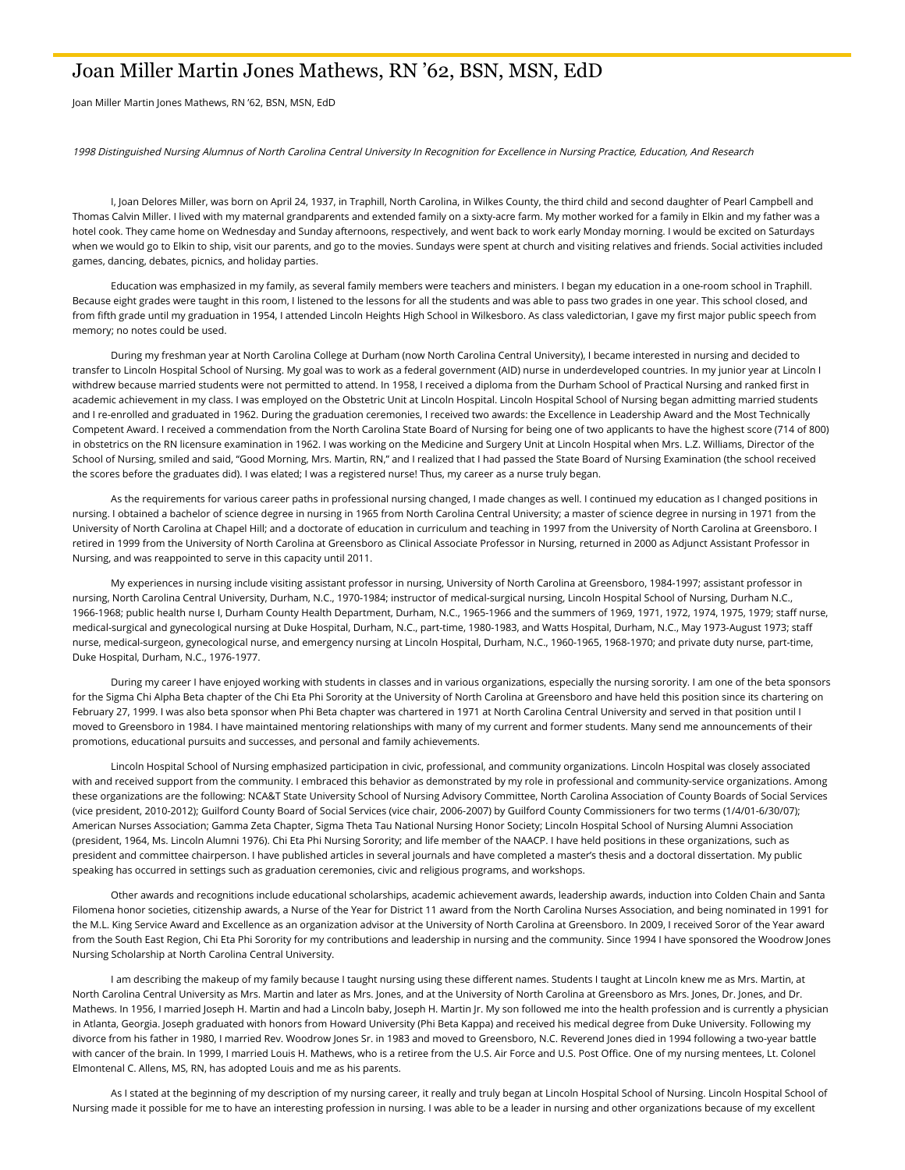## Joan Miller Martin Jones Mathews, RN '62, BSN, MSN, EdD

Joan Miller Martin Jones Mathews, RN '62, BSN, MSN, EdD

1998 Distinguished Nursing Alumnus of North Carolina Central University In Recognition for Excellence in Nursing Practice, Education, And Research

 I, Joan Delores Miller, was born on April 24, 1937, in Traphill, North Carolina, in Wilkes County, the third child and second daughter of Pearl Campbell and Thomas Calvin Miller. I lived with my maternal grandparents and extended family on a sixty-acre farm. My mother worked for a family in Elkin and my father was a hotel cook. They came home on Wednesday and Sunday afternoons, respectively, and went back to work early Monday morning. I would be excited on Saturdays when we would go to Elkin to ship, visit our parents, and go to the movies. Sundays were spent at church and visiting relatives and friends. Social activities included games, dancing, debates, picnics, and holiday parties.

 Education was emphasized in my family, as several family members were teachers and ministers. I began my education in a one-room school in Traphill. Because eight grades were taught in this room, I listened to the lessons for all the students and was able to pass two grades in one year. This school closed, and from fifth grade until my graduation in 1954, I attended Lincoln Heights High School in Wilkesboro. As class valedictorian, I gave my first major public speech from memory; no notes could be used.

 During my freshman year at North Carolina College at Durham (now North Carolina Central University), I became interested in nursing and decided to transfer to Lincoln Hospital School of Nursing. My goal was to work as a federal government (AID) nurse in underdeveloped countries. In my junior year at Lincoln I withdrew because married students were not permitted to attend. In 1958, I received a diploma from the Durham School of Practical Nursing and ranked first in academic achievement in my class. I was employed on the Obstetric Unit at Lincoln Hospital. Lincoln Hospital School of Nursing began admitting married students and I re-enrolled and graduated in 1962. During the graduation ceremonies, I received two awards: the Excellence in Leadership Award and the Most Technically Competent Award. I received a commendation from the North Carolina State Board of Nursing for being one of two applicants to have the highest score (714 of 800) in obstetrics on the RN licensure examination in 1962. I was working on the Medicine and Surgery Unit at Lincoln Hospital when Mrs. L.Z. Williams, Director of the School of Nursing, smiled and said, "Good Morning, Mrs. Martin, RN," and I realized that I had passed the State Board of Nursing Examination (the school received the scores before the graduates did). I was elated; I was a registered nurse! Thus, my career as a nurse truly began.

 As the requirements for various career paths in professional nursing changed, I made changes as well. I continued my education as I changed positions in nursing. I obtained a bachelor of science degree in nursing in 1965 from North Carolina Central University; a master of science degree in nursing in 1971 from the University of North Carolina at Chapel Hill; and a doctorate of education in curriculum and teaching in 1997 from the University of North Carolina at Greensboro. I retired in 1999 from the University of North Carolina at Greensboro as Clinical Associate Professor in Nursing, returned in 2000 as Adjunct Assistant Professor in Nursing, and was reappointed to serve in this capacity until 2011.

 My experiences in nursing include visiting assistant professor in nursing, University of North Carolina at Greensboro, 1984-1997; assistant professor in nursing, North Carolina Central University, Durham, N.C., 1970-1984; instructor of medical-surgical nursing, Lincoln Hospital School of Nursing, Durham N.C., 1966-1968; public health nurse I, Durham County Health Department, Durham, N.C., 1965-1966 and the summers of 1969, 1971, 1972, 1974, 1975, 1979; staff nurse, medical-surgical and gynecological nursing at Duke Hospital, Durham, N.C., part-time, 1980-1983, and Watts Hospital, Durham, N.C., May 1973-August 1973; staff nurse, medical-surgeon, gynecological nurse, and emergency nursing at Lincoln Hospital, Durham, N.C., 1960-1965, 1968-1970; and private duty nurse, part-time, Duke Hospital, Durham, N.C., 1976-1977.

 During my career I have enjoyed working with students in classes and in various organizations, especially the nursing sorority. I am one of the beta sponsors for the Sigma Chi Alpha Beta chapter of the Chi Eta Phi Sorority at the University of North Carolina at Greensboro and have held this position since its chartering on February 27, 1999. I was also beta sponsor when Phi Beta chapter was chartered in 1971 at North Carolina Central University and served in that position until I moved to Greensboro in 1984. I have maintained mentoring relationships with many of my current and former students. Many send me announcements of their promotions, educational pursuits and successes, and personal and family achievements.

 Lincoln Hospital School of Nursing emphasized participation in civic, professional, and community organizations. Lincoln Hospital was closely associated with and received support from the community. I embraced this behavior as demonstrated by my role in professional and community-service organizations. Among these organizations are the following: NCA&T State University School of Nursing Advisory Committee, North Carolina Association of County Boards of Social Services (vice president, 2010-2012); Guilford County Board of Social Services (vice chair, 2006-2007) by Guilford County Commissioners for two terms (1/4/01-6/30/07); American Nurses Association; Gamma Zeta Chapter, Sigma Theta Tau National Nursing Honor Society; Lincoln Hospital School of Nursing Alumni Association (president, 1964, Ms. Lincoln Alumni 1976). Chi Eta Phi Nursing Sorority; and life member of the NAACP. I have held positions in these organizations, such as president and committee chairperson. I have published articles in several journals and have completed a master's thesis and a doctoral dissertation. My public speaking has occurred in settings such as graduation ceremonies, civic and religious programs, and workshops.

 Other awards and recognitions include educational scholarships, academic achievement awards, leadership awards, induction into Colden Chain and Santa Filomena honor societies, citizenship awards, a Nurse of the Year for District 11 award from the North Carolina Nurses Association, and being nominated in 1991 for the M.L. King Service Award and Excellence as an organization advisor at the University of North Carolina at Greensboro. In 2009, I received Soror of the Year award from the South East Region, Chi Eta Phi Sorority for my contributions and leadership in nursing and the community. Since 1994 I have sponsored the Woodrow Jones Nursing Scholarship at North Carolina Central University.

 I am describing the makeup of my family because I taught nursing using these different names. Students I taught at Lincoln knew me as Mrs. Martin, at North Carolina Central University as Mrs. Martin and later as Mrs. Jones, and at the University of North Carolina at Greensboro as Mrs. Jones, Dr. Jones, and Dr. Mathews. In 1956, I married Joseph H. Martin and had a Lincoln baby, Joseph H. Martin Jr. My son followed me into the health profession and is currently a physician in Atlanta, Georgia. Joseph graduated with honors from Howard University (Phi Beta Kappa) and received his medical degree from Duke University. Following my divorce from his father in 1980, I married Rev. Woodrow Jones Sr. in 1983 and moved to Greensboro, N.C. Reverend Jones died in 1994 following a two-year battle with cancer of the brain. In 1999, I married Louis H. Mathews, who is a retiree from the U.S. Air Force and U.S. Post Office. One of my nursing mentees, Lt. Colonel Elmontenal C. Allens, MS, RN, has adopted Louis and me as his parents.

As I stated at the beginning of my description of my nursing career, it really and truly began at Lincoln Hospital School of Nursing. Lincoln Hospital School of Nursing made it possible for me to have an interesting profession in nursing. I was able to be a leader in nursing and other organizations because of my excellent